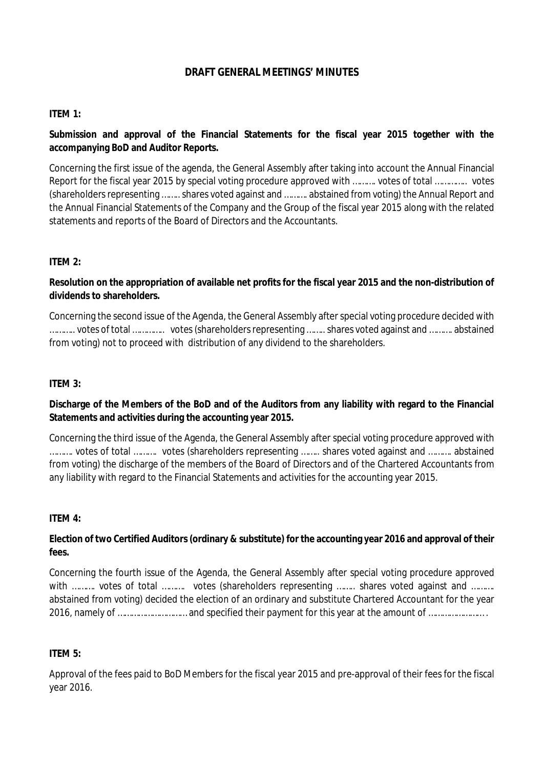# **DRAFT GENERAL MEETINGS' MINUTES**

## **ITEM 1:**

**Submission and approval of the Financial Statements for the fiscal year 2015 together with the accompanying BoD and Auditor Reports.** 

Concerning the first issue of the agenda, the General Assembly after taking into account the Annual Financial Report for the fiscal year 2015 by special voting procedure approved with ………. votes of total ………….. votes (shareholders representing …….. shares voted against and ………. abstained from voting) the Annual Report and the Annual Financial Statements of the Company and the Group οf the fiscal year 2015 along with the related statements and reports of the Board of Directors and the Accountants.

## **ITEM 2:**

**Resolution on the appropriation of available net profits for the fiscal year 2015 and the non-distribution of dividends to shareholders.** 

Concerning the second issue of the Agenda, the General Assembly after special voting procedure decided with ……….. votes of total ………….. votes(shareholdersrepresenting……..shares voted against and ………. abstained from voting) not to proceed with distribution of any dividend to the shareholders.

## **ITEM 3:**

Discharge of the Members of the BoD and of the Auditors from any liability with regard to the Financial **Statements and activities during the accounting year 2015.** 

Concerning the third issue of the Agenda, the General Assembly after special voting procedure approved with ………. votes of total ………. votes (shareholders representing …….. shares voted against and ………. abstained from voting) the discharge of the members of the Board of Directors and of the Chartered Accountants from any liability with regard to the Financial Statements and activities for the accounting year 2015.

## **ITEM 4:**

**Election of two Certified Auditors(ordinary & substitute) for the accounting year 2016 and approval of their fees.** 

Concerning the fourth issue of the Agenda, the General Assembly after special voting procedure approved with ………. votes of total ………. votes (shareholders representing …….. shares voted against and ………. abstained from voting) decided the election of an ordinary and substitute Chartered Accountant for the year 2016, namely of ………………………… and specified their payment for this year at the amount of …………………… .

### **ITEM 5:**

Approval of the fees paid to BoD Members for the fiscal year 2015 and pre-approval of their fees for the fiscal year 2016.